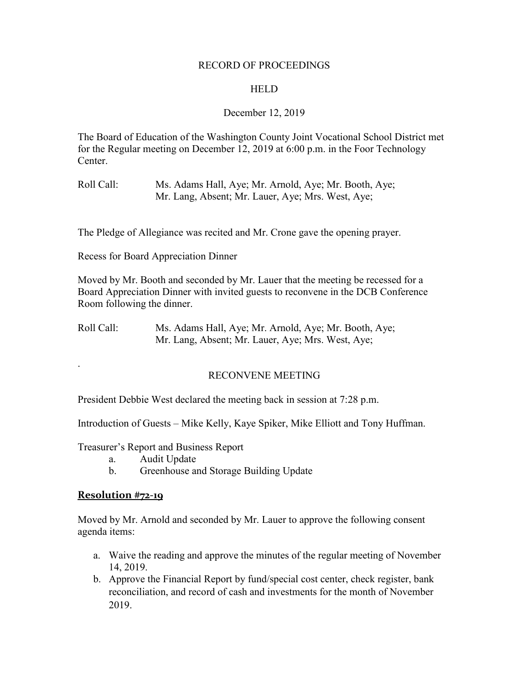#### RECORD OF PROCEEDINGS

### **HELD**

### December 12, 2019

The Board of Education of the Washington County Joint Vocational School District met for the Regular meeting on December 12, 2019 at 6:00 p.m. in the Foor Technology Center.

Roll Call: Ms. Adams Hall, Aye; Mr. Arnold, Aye; Mr. Booth, Aye; Mr. Lang, Absent; Mr. Lauer, Aye; Mrs. West, Aye;

The Pledge of Allegiance was recited and Mr. Crone gave the opening prayer.

Recess for Board Appreciation Dinner

Moved by Mr. Booth and seconded by Mr. Lauer that the meeting be recessed for a Board Appreciation Dinner with invited guests to reconvene in the DCB Conference Room following the dinner.

Roll Call: Ms. Adams Hall, Aye; Mr. Arnold, Aye; Mr. Booth, Aye; Mr. Lang, Absent; Mr. Lauer, Aye; Mrs. West, Aye;

# RECONVENE MEETING

President Debbie West declared the meeting back in session at 7:28 p.m.

Introduction of Guests – Mike Kelly, Kaye Spiker, Mike Elliott and Tony Huffman.

Treasurer's Report and Business Report

- a. Audit Update
- b. Greenhouse and Storage Building Update

### **Resolution #72-19**

.

Moved by Mr. Arnold and seconded by Mr. Lauer to approve the following consent agenda items:

- a. Waive the reading and approve the minutes of the regular meeting of November 14, 2019.
- b. Approve the Financial Report by fund/special cost center, check register, bank reconciliation, and record of cash and investments for the month of November 2019.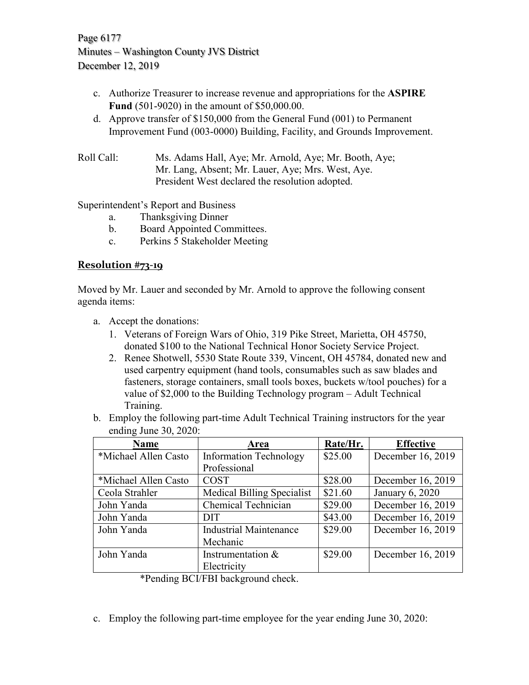Page 6177 Minutes – Washington County JVS District December 12, 2019

- c. Authorize Treasurer to increase revenue and appropriations for the **ASPIRE Fund** (501-9020) in the amount of \$50,000.00.
- d. Approve transfer of \$150,000 from the General Fund (001) to Permanent Improvement Fund (003-0000) Building, Facility, and Grounds Improvement.
- Roll Call: Ms. Adams Hall, Aye; Mr. Arnold, Aye; Mr. Booth, Aye; Mr. Lang, Absent; Mr. Lauer, Aye; Mrs. West, Aye. President West declared the resolution adopted.

Superintendent's Report and Business

- a. Thanksgiving Dinner
- b. Board Appointed Committees.
- c. Perkins 5 Stakeholder Meeting

### **Resolution #73-19**

Moved by Mr. Lauer and seconded by Mr. Arnold to approve the following consent agenda items:

- a. Accept the donations:
	- 1. Veterans of Foreign Wars of Ohio, 319 Pike Street, Marietta, OH 45750, donated \$100 to the National Technical Honor Society Service Project.
	- 2. Renee Shotwell, 5530 State Route 339, Vincent, OH 45784, donated new and used carpentry equipment (hand tools, consumables such as saw blades and fasteners, storage containers, small tools boxes, buckets w/tool pouches) for a value of \$2,000 to the Building Technology program – Adult Technical Training.
- b. Employ the following part-time Adult Technical Training instructors for the year ending June 30, 2020:

| <b>Name</b>          | Area                              | Rate/Hr. | <b>Effective</b>  |
|----------------------|-----------------------------------|----------|-------------------|
| *Michael Allen Casto | <b>Information Technology</b>     | \$25.00  | December 16, 2019 |
|                      | Professional                      |          |                   |
| *Michael Allen Casto | <b>COST</b>                       | \$28.00  | December 16, 2019 |
| Ceola Strahler       | <b>Medical Billing Specialist</b> | \$21.60  | January 6, 2020   |
| John Yanda           | Chemical Technician               | \$29.00  | December 16, 2019 |
| John Yanda           | <b>DIT</b>                        | \$43.00  | December 16, 2019 |
| John Yanda           | <b>Industrial Maintenance</b>     | \$29.00  | December 16, 2019 |
|                      | Mechanic                          |          |                   |
| John Yanda           | Instrumentation $&$               | \$29.00  | December 16, 2019 |
|                      | Electricity                       |          |                   |

\*Pending BCI/FBI background check.

c. Employ the following part-time employee for the year ending June 30, 2020: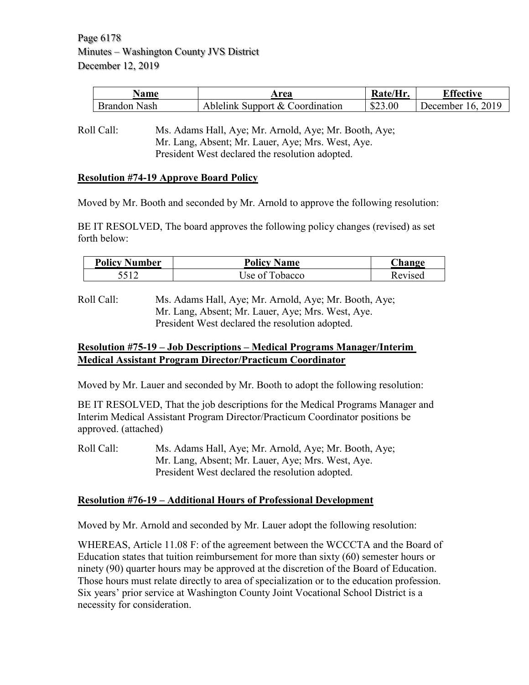Page 6178 Minutes – Washington County JVS District December 12, 2019

| <b>Name</b>     | Area                            | 'Hr.    | $\Gamma$ ffective    |
|-----------------|---------------------------------|---------|----------------------|
| Brandon<br>Nash | Ablelink Support & Coordination | \$23.00 | 2019<br>December 16. |

Roll Call: Ms. Adams Hall, Aye; Mr. Arnold, Aye; Mr. Booth, Aye; Mr. Lang, Absent; Mr. Lauer, Aye; Mrs. West, Aye. President West declared the resolution adopted.

#### **Resolution #74-19 Approve Board Policy**

Moved by Mr. Booth and seconded by Mr. Arnold to approve the following resolution:

BE IT RESOLVED, The board approves the following policy changes (revised) as set forth below:

| <b>Policy Number</b> | <b>Policy Name</b> | Change  |
|----------------------|--------------------|---------|
| 5512                 | Use of Tobacco     | Revised |

Roll Call: Ms. Adams Hall, Aye; Mr. Arnold, Aye; Mr. Booth, Aye; Mr. Lang, Absent; Mr. Lauer, Aye; Mrs. West, Aye. President West declared the resolution adopted.

### **Resolution #75-19 – Job Descriptions – Medical Programs Manager/Interim Medical Assistant Program Director/Practicum Coordinator**

Moved by Mr. Lauer and seconded by Mr. Booth to adopt the following resolution:

BE IT RESOLVED, That the job descriptions for the Medical Programs Manager and Interim Medical Assistant Program Director/Practicum Coordinator positions be approved. (attached)

Roll Call: Ms. Adams Hall, Aye; Mr. Arnold, Aye; Mr. Booth, Aye; Mr. Lang, Absent; Mr. Lauer, Aye; Mrs. West, Aye. President West declared the resolution adopted.

### **Resolution #76-19 – Additional Hours of Professional Development**

Moved by Mr. Arnold and seconded by Mr. Lauer adopt the following resolution:

WHEREAS, Article 11.08 F: of the agreement between the WCCCTA and the Board of Education states that tuition reimbursement for more than sixty (60) semester hours or ninety (90) quarter hours may be approved at the discretion of the Board of Education. Those hours must relate directly to area of specialization or to the education profession. Six years' prior service at Washington County Joint Vocational School District is a necessity for consideration.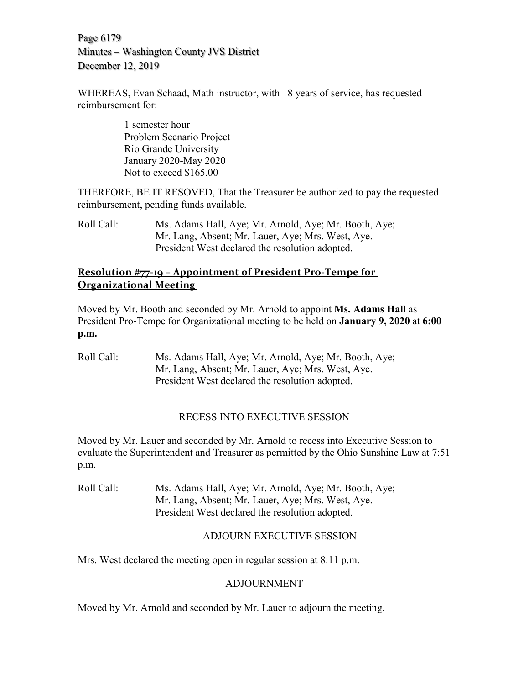Page 6179 Minutes – Washington County JVS District December 12, 2019

WHEREAS, Evan Schaad, Math instructor, with 18 years of service, has requested reimbursement for:

> 1 semester hour Problem Scenario Project Rio Grande University January 2020-May 2020 Not to exceed \$165.00

THERFORE, BE IT RESOVED, That the Treasurer be authorized to pay the requested reimbursement, pending funds available.

Roll Call: Ms. Adams Hall, Aye; Mr. Arnold, Aye; Mr. Booth, Aye; Mr. Lang, Absent; Mr. Lauer, Aye; Mrs. West, Aye. President West declared the resolution adopted.

# **Resolution #77-19 – Appointment of President Pro-Tempe for Organizational Meeting**

Moved by Mr. Booth and seconded by Mr. Arnold to appoint **Ms. Adams Hall** as President Pro-Tempe for Organizational meeting to be held on **January 9, 2020** at **6:00 p.m.**

Roll Call: Ms. Adams Hall, Aye; Mr. Arnold, Aye; Mr. Booth, Aye; Mr. Lang, Absent; Mr. Lauer, Aye; Mrs. West, Aye. President West declared the resolution adopted.

# RECESS INTO EXECUTIVE SESSION

Moved by Mr. Lauer and seconded by Mr. Arnold to recess into Executive Session to evaluate the Superintendent and Treasurer as permitted by the Ohio Sunshine Law at 7:51 p.m.

Roll Call: Ms. Adams Hall, Aye; Mr. Arnold, Aye; Mr. Booth, Aye; Mr. Lang, Absent; Mr. Lauer, Aye; Mrs. West, Aye. President West declared the resolution adopted.

# ADJOURN EXECUTIVE SESSION

Mrs. West declared the meeting open in regular session at 8:11 p.m.

# ADJOURNMENT

Moved by Mr. Arnold and seconded by Mr. Lauer to adjourn the meeting.